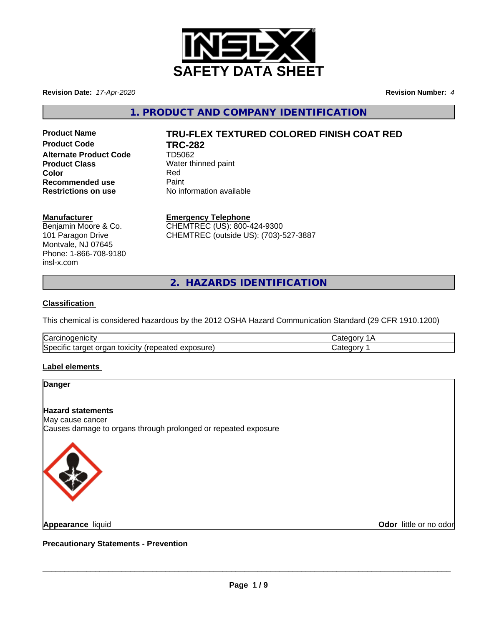

**Revision Date:** *17-Apr-2020* **Revision Number:** *4*

**1. PRODUCT AND COMPANY IDENTIFICATION**

**Product Code TRC-282 Alternate Product Code** TD5062 **Product Class** Water thinned paint **Color** Red **Recommended use** Paint<br> **Restrictions on use** No inf

# **Product Name TRU-FLEX TEXTURED COLORED FINISH COAT RED**

**No information available** 

#### **Manufacturer**

Benjamin Moore & Co. 101 Paragon Drive Montvale, NJ 07645 Phone: 1-866-708-9180 insl-x.com

**Emergency Telephone**

CHEMTREC (US): 800-424-9300 CHEMTREC (outside US): (703)-527-3887

**2. HAZARDS IDENTIFICATION**

#### **Classification**

This chemical is considered hazardous by the 2012 OSHA Hazard Communication Standard (29 CFR 1910.1200)

| ∽<br>$\sim$<br>Na                                                                               |  |
|-------------------------------------------------------------------------------------------------|--|
| <b>S</b> pe<br>exposure)<br>ovr.<br>∟^`<br>eared<br>שוני<br>ا ∪ال∪ن<br><b>.</b><br>31 J C<br>., |  |

#### **Label elements**

# **Danger Hazard statements** May cause cancer Causes damage to organs through prolonged or repeated exposure

**Appearance** liquid

**Odor** little or no odor

**Precautionary Statements - Prevention**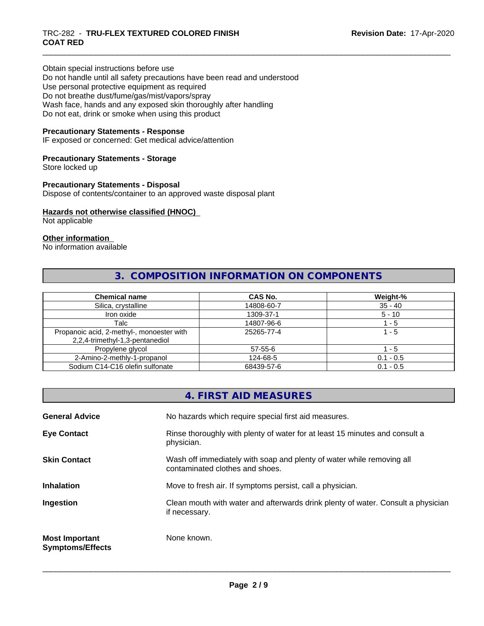#### \_\_\_\_\_\_\_\_\_\_\_\_\_\_\_\_\_\_\_\_\_\_\_\_\_\_\_\_\_\_\_\_\_\_\_\_\_\_\_\_\_\_\_\_\_\_\_\_\_\_\_\_\_\_\_\_\_\_\_\_\_\_\_\_\_\_\_\_\_\_\_\_\_\_\_\_\_\_\_\_\_\_\_\_\_\_\_\_\_\_\_\_\_ TRC-282 - **TRU-FLEX TEXTURED COLORED FINISH COAT RED**

Obtain special instructions before use Do not handle until all safety precautions have been read and understood Use personal protective equipment as required Do not breathe dust/fume/gas/mist/vapors/spray Wash face, hands and any exposed skin thoroughly after handling Do not eat, drink or smoke when using this product

#### **Precautionary Statements - Response**

IF exposed or concerned: Get medical advice/attention

#### **Precautionary Statements - Storage**

Store locked up

#### **Precautionary Statements - Disposal**

Dispose of contents/container to an approved waste disposal plant

#### **Hazards not otherwise classified (HNOC)**

Not applicable

#### **Other information**

No information available

# **3. COMPOSITION INFORMATION ON COMPONENTS**

| <b>Chemical name</b>                                                         | <b>CAS No.</b> | Weight-%    |
|------------------------------------------------------------------------------|----------------|-------------|
| Silica, crystalline                                                          | 14808-60-7     | $35 - 40$   |
| Iron oxide                                                                   | 1309-37-1      | $5 - 10$    |
| Talc                                                                         | 14807-96-6     | - 5         |
| Propanoic acid, 2-methyl-, monoester with<br>2,2,4-trimethyl-1,3-pentanediol | 25265-77-4     | 1 - 5       |
| Propylene glycol                                                             | $57 - 55 - 6$  | - 5         |
| 2-Amino-2-methly-1-propanol                                                  | 124-68-5       | $0.1 - 0.5$ |
| Sodium C14-C16 olefin sulfonate                                              | 68439-57-6     | $0.1 - 0.5$ |

|                                                  | 4. FIRST AID MEASURES                                                                                    |
|--------------------------------------------------|----------------------------------------------------------------------------------------------------------|
| <b>General Advice</b>                            | No hazards which require special first aid measures.                                                     |
| <b>Eye Contact</b>                               | Rinse thoroughly with plenty of water for at least 15 minutes and consult a<br>physician.                |
| <b>Skin Contact</b>                              | Wash off immediately with soap and plenty of water while removing all<br>contaminated clothes and shoes. |
| <b>Inhalation</b>                                | Move to fresh air. If symptoms persist, call a physician.                                                |
| Ingestion                                        | Clean mouth with water and afterwards drink plenty of water. Consult a physician<br>if necessary.        |
| <b>Most Important</b><br><b>Symptoms/Effects</b> | None known.                                                                                              |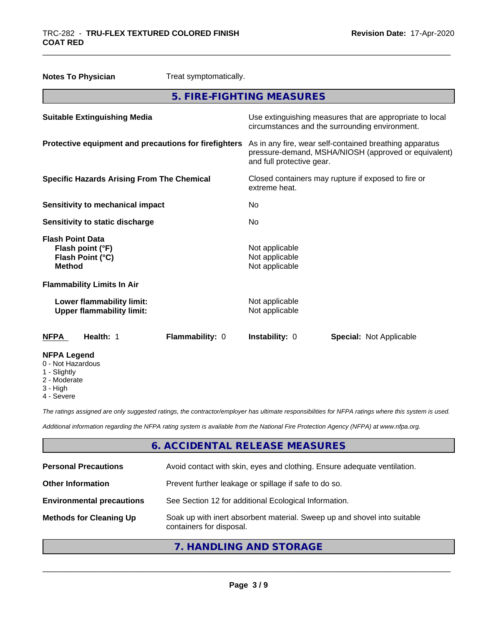| <b>Notes To Physician</b>                                                        |                                                               | Treat symptomatically.                                |                                                    |                                                                                                                 |
|----------------------------------------------------------------------------------|---------------------------------------------------------------|-------------------------------------------------------|----------------------------------------------------|-----------------------------------------------------------------------------------------------------------------|
|                                                                                  |                                                               |                                                       | 5. FIRE-FIGHTING MEASURES                          |                                                                                                                 |
|                                                                                  | <b>Suitable Extinguishing Media</b>                           |                                                       |                                                    | Use extinguishing measures that are appropriate to local<br>circumstances and the surrounding environment.      |
|                                                                                  |                                                               | Protective equipment and precautions for firefighters | and full protective gear.                          | As in any fire, wear self-contained breathing apparatus<br>pressure-demand, MSHA/NIOSH (approved or equivalent) |
|                                                                                  |                                                               | <b>Specific Hazards Arising From The Chemical</b>     | extreme heat.                                      | Closed containers may rupture if exposed to fire or                                                             |
|                                                                                  | Sensitivity to mechanical impact                              |                                                       | No.                                                |                                                                                                                 |
|                                                                                  | Sensitivity to static discharge                               |                                                       | No                                                 |                                                                                                                 |
| <b>Flash Point Data</b><br>Flash point (°F)<br>Flash Point (°C)<br><b>Method</b> |                                                               |                                                       | Not applicable<br>Not applicable<br>Not applicable |                                                                                                                 |
| <b>Flammability Limits In Air</b>                                                |                                                               |                                                       |                                                    |                                                                                                                 |
|                                                                                  | Lower flammability limit:<br><b>Upper flammability limit:</b> |                                                       | Not applicable<br>Not applicable                   |                                                                                                                 |
| <b>NFPA</b>                                                                      | Health: 1                                                     | Flammability: 0                                       | Instability: 0                                     | <b>Special: Not Applicable</b>                                                                                  |
| <b>NFPA Legend</b><br>0 - Not Hazardous<br>1 - Slightly<br>2 - Moderate          |                                                               |                                                       |                                                    |                                                                                                                 |

- 3 High
- 4 Severe

*The ratings assigned are only suggested ratings, the contractor/employer has ultimate responsibilities for NFPA ratings where this system is used.*

*Additional information regarding the NFPA rating system is available from the National Fire Protection Agency (NFPA) at www.nfpa.org.*

# **6. ACCIDENTAL RELEASE MEASURES**

| <b>Personal Precautions</b>      | Avoid contact with skin, eyes and clothing. Ensure adequate ventilation.                             |
|----------------------------------|------------------------------------------------------------------------------------------------------|
| <b>Other Information</b>         | Prevent further leakage or spillage if safe to do so.                                                |
| <b>Environmental precautions</b> | See Section 12 for additional Ecological Information.                                                |
| <b>Methods for Cleaning Up</b>   | Soak up with inert absorbent material. Sweep up and shovel into suitable<br>containers for disposal. |

**7. HANDLING AND STORAGE**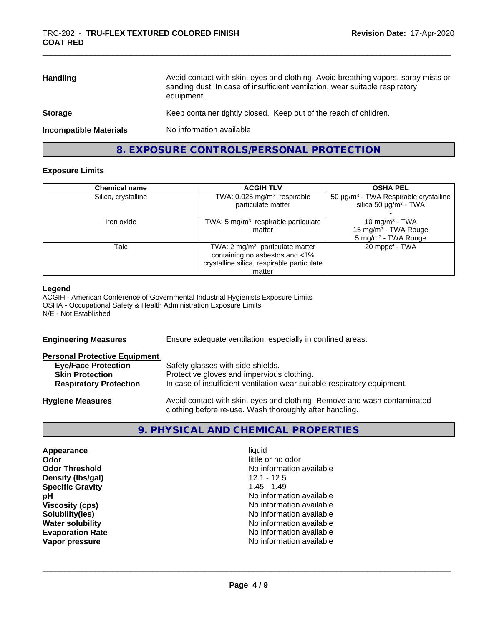| <b>Handling</b>               | Avoid contact with skin, eyes and clothing. Avoid breathing vapors, spray mists or<br>sanding dust. In case of insufficient ventilation, wear suitable respiratory<br>equipment. |
|-------------------------------|----------------------------------------------------------------------------------------------------------------------------------------------------------------------------------|
| <b>Storage</b>                | Keep container tightly closed. Keep out of the reach of children.                                                                                                                |
| <b>Incompatible Materials</b> | No information available                                                                                                                                                         |
|                               |                                                                                                                                                                                  |

# **8. EXPOSURE CONTROLS/PERSONAL PROTECTION**

#### **Exposure Limits**

| <b>Chemical name</b> | <b>ACGIH TLV</b>                                                    | <b>OSHA PEL</b>                                                                             |
|----------------------|---------------------------------------------------------------------|---------------------------------------------------------------------------------------------|
| Silica, crystalline  | TWA: $0.025$ mg/m <sup>3</sup> respirable<br>particulate matter     | 50 μg/m <sup>3</sup> - TWA Respirable crystalline<br>silica 50 $\mu$ g/m <sup>3</sup> - TWA |
|                      |                                                                     |                                                                                             |
| Iron oxide           | TWA: 5 $mg/m3$ respirable particulate                               | 10 mg/m $3$ - TWA                                                                           |
|                      | matter                                                              | 15 mg/m <sup>3</sup> - TWA Rouge                                                            |
|                      |                                                                     | 5 mg/m <sup>3</sup> - TWA Rouge                                                             |
| Talc                 | TWA: 2 $mg/m3$ particulate matter<br>containing no asbestos and <1% | 20 mppcf - TWA                                                                              |
|                      | crystalline silica, respirable particulate                          |                                                                                             |
|                      | matter                                                              |                                                                                             |

#### **Legend**

ACGIH - American Conference of Governmental Industrial Hygienists Exposure Limits OSHA - Occupational Safety & Health Administration Exposure Limits N/E - Not Established

| <b>Engineering Measures</b>                                                                                                   | Ensure adequate ventilation, especially in confined areas.                                                                                                  |  |
|-------------------------------------------------------------------------------------------------------------------------------|-------------------------------------------------------------------------------------------------------------------------------------------------------------|--|
| <b>Personal Protective Equipment</b><br><b>Eye/Face Protection</b><br><b>Skin Protection</b><br><b>Respiratory Protection</b> | Safety glasses with side-shields.<br>Protective gloves and impervious clothing.<br>In case of insufficient ventilation wear suitable respiratory equipment. |  |
| <b>Hygiene Measures</b>                                                                                                       | Avoid contact with skin, eyes and clothing. Remove and wash contaminated<br>clothing before re-use. Wash thoroughly after handling.                         |  |

# **9. PHYSICAL AND CHEMICAL PROPERTIES**

| liauid                   |  |
|--------------------------|--|
| little or no odor        |  |
| No information available |  |
| $12.1 - 12.5$            |  |
| $1.45 - 1.49$            |  |
| No information available |  |
| No information available |  |
| No information available |  |
| No information available |  |
| No information available |  |
| No information available |  |
|                          |  |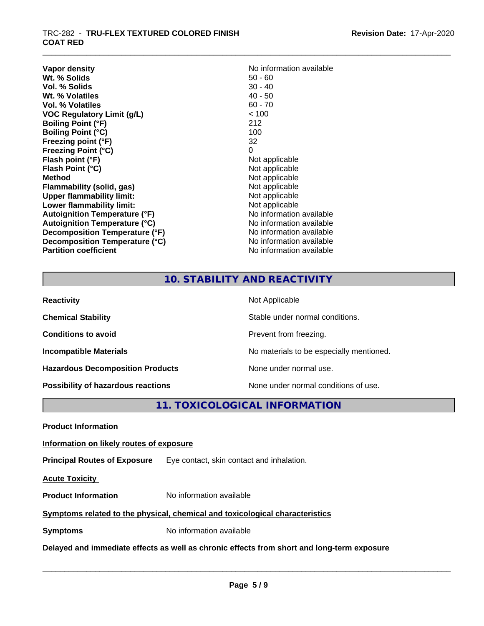| Vapor density                        | No information available |
|--------------------------------------|--------------------------|
| Wt. % Solids                         | $50 - 60$                |
| Vol. % Solids                        | $30 - 40$                |
| Wt. % Volatiles                      | $40 - 50$                |
| Vol. % Volatiles                     | $60 - 70$                |
| <b>VOC Regulatory Limit (g/L)</b>    | < 100                    |
| <b>Boiling Point (°F)</b>            | 212                      |
| <b>Boiling Point (°C)</b>            | 100                      |
| Freezing point (°F)                  | 32                       |
| <b>Freezing Point (°C)</b>           | 0                        |
| Flash point (°F)                     | Not applicable           |
| Flash Point (°C)                     | Not applicable           |
| Method                               | Not applicable           |
| <b>Flammability (solid, gas)</b>     | Not applicable           |
| <b>Upper flammability limit:</b>     | Not applicable           |
| Lower flammability limit:            | Not applicable           |
| <b>Autoignition Temperature (°F)</b> | No information available |
| <b>Autoignition Temperature (°C)</b> | No information available |
| Decomposition Temperature (°F)       | No information available |
| Decomposition Temperature (°C)       | No information available |
| <b>Partition coefficient</b>         | No information available |

# **10. STABILITY AND REACTIVITY**

| <b>Reactivity</b>                         | Not Applicable                           |
|-------------------------------------------|------------------------------------------|
| <b>Chemical Stability</b>                 | Stable under normal conditions.          |
| <b>Conditions to avoid</b>                | Prevent from freezing.                   |
| <b>Incompatible Materials</b>             | No materials to be especially mentioned. |
| <b>Hazardous Decomposition Products</b>   | None under normal use.                   |
| <b>Possibility of hazardous reactions</b> | None under normal conditions of use.     |

**11. TOXICOLOGICAL INFORMATION**

**Product Information**

# **Information on likely routes of exposure**

**Principal Routes of Exposure** Eye contact, skin contact and inhalation.

**Acute Toxicity** 

**Product Information** No information available

## **Symptoms related to the physical,chemical and toxicological characteristics**

**Symptoms** No information available

**Delayed and immediate effects as well as chronic effects from short and long-term exposure**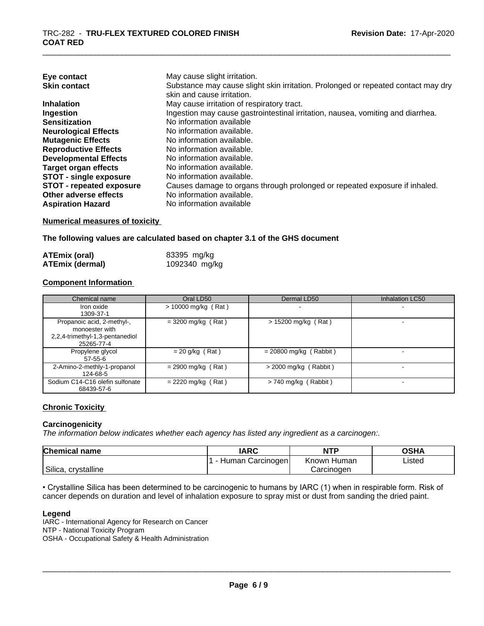| Eye contact                     | May cause slight irritation.                                                      |
|---------------------------------|-----------------------------------------------------------------------------------|
| <b>Skin contact</b>             | Substance may cause slight skin irritation. Prolonged or repeated contact may dry |
|                                 | skin and cause irritation.                                                        |
| <b>Inhalation</b>               | May cause irritation of respiratory tract.                                        |
| Ingestion                       | Ingestion may cause gastrointestinal irritation, nausea, vomiting and diarrhea.   |
| <b>Sensitization</b>            | No information available                                                          |
| <b>Neurological Effects</b>     | No information available.                                                         |
| <b>Mutagenic Effects</b>        | No information available.                                                         |
| <b>Reproductive Effects</b>     | No information available.                                                         |
| <b>Developmental Effects</b>    | No information available.                                                         |
| <b>Target organ effects</b>     | No information available.                                                         |
| <b>STOT - single exposure</b>   | No information available.                                                         |
| <b>STOT - repeated exposure</b> | Causes damage to organs through prolonged or repeated exposure if inhaled.        |
| Other adverse effects           | No information available.                                                         |
| <b>Aspiration Hazard</b>        | No information available                                                          |

#### **Numerical measures of toxicity**

**The following values are calculated based on chapter 3.1 of the GHS document**

| ATEmix (oral)          | 83395 mg/kg   |  |
|------------------------|---------------|--|
| <b>ATEmix (dermal)</b> | 1092340 mg/kg |  |

#### **Component Information**

| Chemical name                                                                                 | Oral LD50             | Dermal LD50              | <b>Inhalation LC50</b>   |
|-----------------------------------------------------------------------------------------------|-----------------------|--------------------------|--------------------------|
| Iron oxide<br>1309-37-1                                                                       | $> 10000$ mg/kg (Rat) |                          | $\overline{\phantom{0}}$ |
| Propanoic acid, 2-methyl-,<br>monoester with<br>2,2,4-trimethyl-1,3-pentanediol<br>25265-77-4 | $=$ 3200 mg/kg (Rat)  | $> 15200$ mg/kg (Rat)    |                          |
| Propylene glycol<br>$57-55-6$                                                                 | $= 20$ g/kg (Rat)     | $= 20800$ mg/kg (Rabbit) |                          |
| 2-Amino-2-methly-1-propanol<br>124-68-5                                                       | $= 2900$ mg/kg (Rat)  | $>$ 2000 mg/kg (Rabbit)  |                          |
| Sodium C14-C16 olefin sulfonate<br>68439-57-6                                                 | $= 2220$ mg/kg (Rat)  | $> 740$ mg/kg (Rabbit)   |                          |

#### **Chronic Toxicity**

#### **Carcinogenicity**

*The information below indicateswhether each agency has listed any ingredient as a carcinogen:.*

| <b>Chemical name</b>   | <b>IARC</b>      | <b>NTP</b>     | <b>OSHA</b> |
|------------------------|------------------|----------------|-------------|
|                        | Human Carcinogen | Human<br>Known | Listed      |
| Silica,<br>crystalline |                  | Carcinoɑen     |             |

• Crystalline Silica has been determined to be carcinogenic to humans by IARC (1) when in respirable form. Risk of cancer depends on duration and level of inhalation exposure to spray mist or dust from sanding the dried paint.

#### **Legend**

IARC - International Agency for Research on Cancer NTP - National Toxicity Program OSHA - Occupational Safety & Health Administration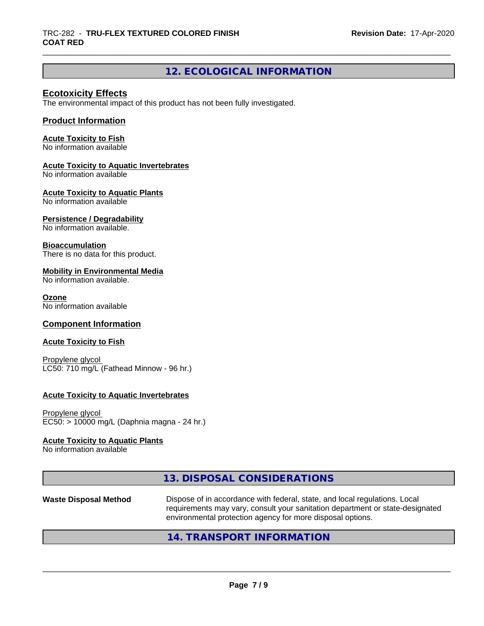# **12. ECOLOGICAL INFORMATION**

#### **Ecotoxicity Effects**

The environmental impact of this product has not been fully investigated.

#### **Product Information**

#### **Acute Toxicity to Fish**

No information available

#### **Acute Toxicity to Aquatic Invertebrates**

No information available

#### **Acute Toxicity to Aquatic Plants**

No information available

#### **Persistence / Degradability**

No information available.

#### **Bioaccumulation**

There is no data for this product.

#### **Mobility in Environmental Media**

No information available.

#### **Ozone**

No information available

#### **Component Information**

#### **Acute Toxicity to Fish**

Propylene glycol LC50: 710 mg/L (Fathead Minnow - 96 hr.)

#### **Acute Toxicity to Aquatic Invertebrates**

Propylene glycol EC50: > 10000 mg/L (Daphnia magna - 24 hr.)

#### **Acute Toxicity to Aquatic Plants**

No information available

|                              | 13. DISPOSAL CONSIDERATIONS                                                                                                                                                                                               |
|------------------------------|---------------------------------------------------------------------------------------------------------------------------------------------------------------------------------------------------------------------------|
| <b>Waste Disposal Method</b> | Dispose of in accordance with federal, state, and local regulations. Local<br>requirements may vary, consult your sanitation department or state-designated<br>environmental protection agency for more disposal options. |
|                              | 14. TRANSPORT INFORMATION                                                                                                                                                                                                 |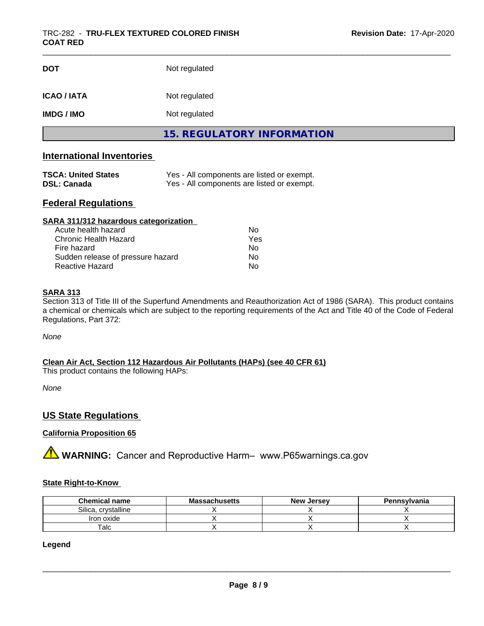| <b>DOT</b>        | Not regulated                     |  |
|-------------------|-----------------------------------|--|
| <b>ICAO/IATA</b>  | Not regulated                     |  |
| <b>IMDG / IMO</b> | Not regulated                     |  |
|                   | <b>15. REGULATORY INFORMATION</b> |  |

#### **International Inventories**

| <b>TSCA: United States</b> | Yes - All components are listed or exempt. |
|----------------------------|--------------------------------------------|
| DSL: Canada                | Yes - All components are listed or exempt. |

#### **Federal Regulations**

| SARA 311/312 hazardous categorization |     |  |
|---------------------------------------|-----|--|
| Acute health hazard                   | Nο  |  |
| Chronic Health Hazard                 | Yes |  |
| Fire hazard                           | Nο  |  |
| Sudden release of pressure hazard     | Nο  |  |
| Reactive Hazard                       | No  |  |

#### **SARA 313**

Section 313 of Title III of the Superfund Amendments and Reauthorization Act of 1986 (SARA). This product contains a chemical or chemicals which are subject to the reporting requirements of the Act and Title 40 of the Code of Federal Regulations, Part 372:

*None*

**Clean Air Act,Section 112 Hazardous Air Pollutants (HAPs) (see 40 CFR 61)**

This product contains the following HAPs:

*None*

## **US State Regulations**

#### **California Proposition 65**

**A WARNING:** Cancer and Reproductive Harm– www.P65warnings.ca.gov

#### **State Right-to-Know**

| <b>Chemical name</b>   | <b>Massachusetts</b> | <b>New Jersey</b> | Pennsylvania |
|------------------------|----------------------|-------------------|--------------|
| Silica.<br>crystalline |                      |                   |              |
| Iron oxide             |                      |                   |              |
| $\mathsf {^{Talc}}$    |                      |                   |              |

**Legend**